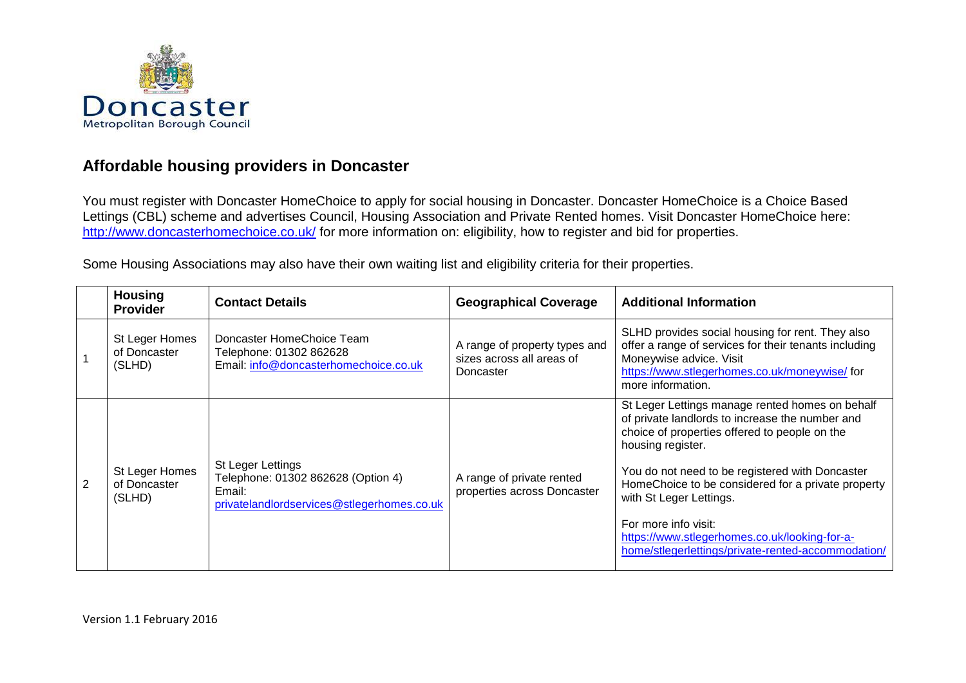

## **Affordable housing providers in Doncaster**

You must register with Doncaster HomeChoice to apply for social housing in Doncaster. Doncaster HomeChoice is a Choice Based Lettings (CBL) scheme and advertises Council, Housing Association and Private Rented homes. Visit Doncaster HomeChoice here: <http://www.doncasterhomechoice.co.uk/> for more information on: eligibility, how to register and bid for properties.

Some Housing Associations may also have their own waiting list and eligibility criteria for their properties.

|   | <b>Housing</b><br><b>Provider</b>        | <b>Contact Details</b>                                                                                          | <b>Geographical Coverage</b>                                            | <b>Additional Information</b>                                                                                                                                                                                                                                                                                                                                                                                                               |
|---|------------------------------------------|-----------------------------------------------------------------------------------------------------------------|-------------------------------------------------------------------------|---------------------------------------------------------------------------------------------------------------------------------------------------------------------------------------------------------------------------------------------------------------------------------------------------------------------------------------------------------------------------------------------------------------------------------------------|
|   | St Leger Homes<br>of Doncaster<br>(SLHD) | Doncaster HomeChoice Team<br>Telephone: 01302 862628<br>Email: info@doncasterhomechoice.co.uk                   | A range of property types and<br>sizes across all areas of<br>Doncaster | SLHD provides social housing for rent. They also<br>offer a range of services for their tenants including<br>Moneywise advice. Visit<br>https://www.stlegerhomes.co.uk/moneywise/ for<br>more information.                                                                                                                                                                                                                                  |
| 2 | St Leger Homes<br>of Doncaster<br>(SLHD) | St Leger Lettings<br>Telephone: 01302 862628 (Option 4)<br>Email:<br>privatelandlordservices@stlegerhomes.co.uk | A range of private rented<br>properties across Doncaster                | St Leger Lettings manage rented homes on behalf<br>of private landlords to increase the number and<br>choice of properties offered to people on the<br>housing register.<br>You do not need to be registered with Doncaster<br>HomeChoice to be considered for a private property<br>with St Leger Lettings.<br>For more info visit:<br>https://www.stlegerhomes.co.uk/looking-for-a-<br>home/stlegerlettings/private-rented-accommodation/ |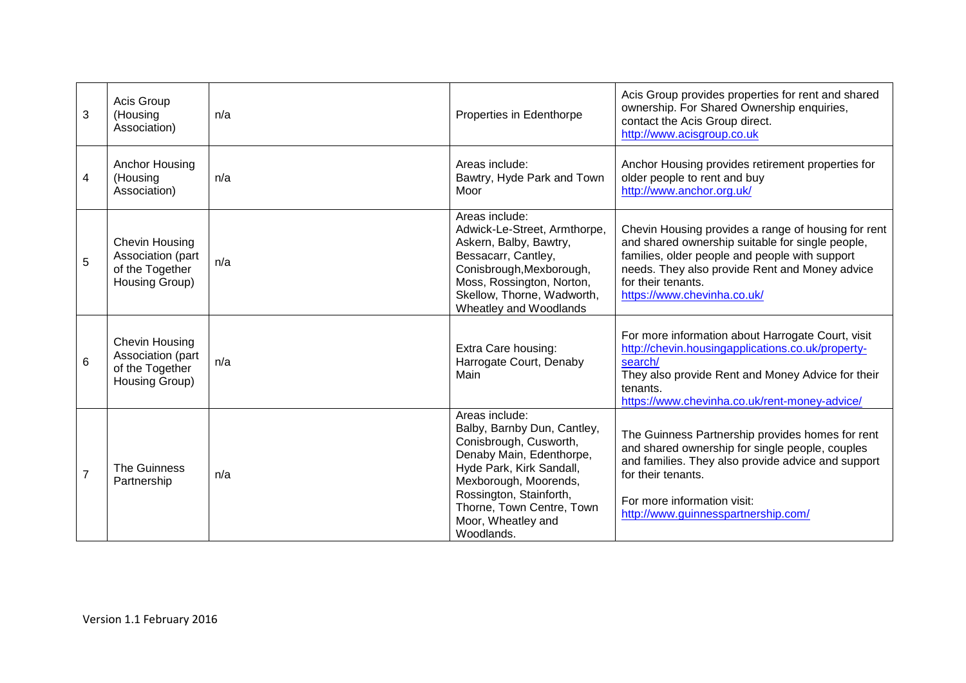| 3              | Acis Group<br>(Housing<br>Association)                                   | n/a | Properties in Edenthorpe                                                                                                                                                                                                                             | Acis Group provides properties for rent and shared<br>ownership. For Shared Ownership enquiries,<br>contact the Acis Group direct.<br>http://www.acisgroup.co.uk                                                                                                 |
|----------------|--------------------------------------------------------------------------|-----|------------------------------------------------------------------------------------------------------------------------------------------------------------------------------------------------------------------------------------------------------|------------------------------------------------------------------------------------------------------------------------------------------------------------------------------------------------------------------------------------------------------------------|
| 4              | Anchor Housing<br>(Housing<br>Association)                               | n/a | Areas include:<br>Bawtry, Hyde Park and Town<br>Moor                                                                                                                                                                                                 | Anchor Housing provides retirement properties for<br>older people to rent and buy<br>http://www.anchor.org.uk/                                                                                                                                                   |
| 5              | Chevin Housing<br>Association (part<br>of the Together<br>Housing Group) | n/a | Areas include:<br>Adwick-Le-Street, Armthorpe,<br>Askern, Balby, Bawtry,<br>Bessacarr, Cantley,<br>Conisbrough, Mexborough,<br>Moss, Rossington, Norton,<br>Skellow, Thorne, Wadworth,<br>Wheatley and Woodlands                                     | Chevin Housing provides a range of housing for rent<br>and shared ownership suitable for single people,<br>families, older people and people with support<br>needs. They also provide Rent and Money advice<br>for their tenants.<br>https://www.chevinha.co.uk/ |
| 6              | Chevin Housing<br>Association (part<br>of the Together<br>Housing Group) | n/a | Extra Care housing:<br>Harrogate Court, Denaby<br>Main                                                                                                                                                                                               | For more information about Harrogate Court, visit<br>http://chevin.housingapplications.co.uk/property-<br>search/<br>They also provide Rent and Money Advice for their<br>tenants.<br>https://www.chevinha.co.uk/rent-money-advice/                              |
| $\overline{7}$ | The Guinness<br>Partnership                                              | n/a | Areas include:<br>Balby, Barnby Dun, Cantley,<br>Conisbrough, Cusworth,<br>Denaby Main, Edenthorpe,<br>Hyde Park, Kirk Sandall,<br>Mexborough, Moorends,<br>Rossington, Stainforth,<br>Thorne, Town Centre, Town<br>Moor, Wheatley and<br>Woodlands. | The Guinness Partnership provides homes for rent<br>and shared ownership for single people, couples<br>and families. They also provide advice and support<br>for their tenants.<br>For more information visit:<br>http://www.guinnesspartnership.com/            |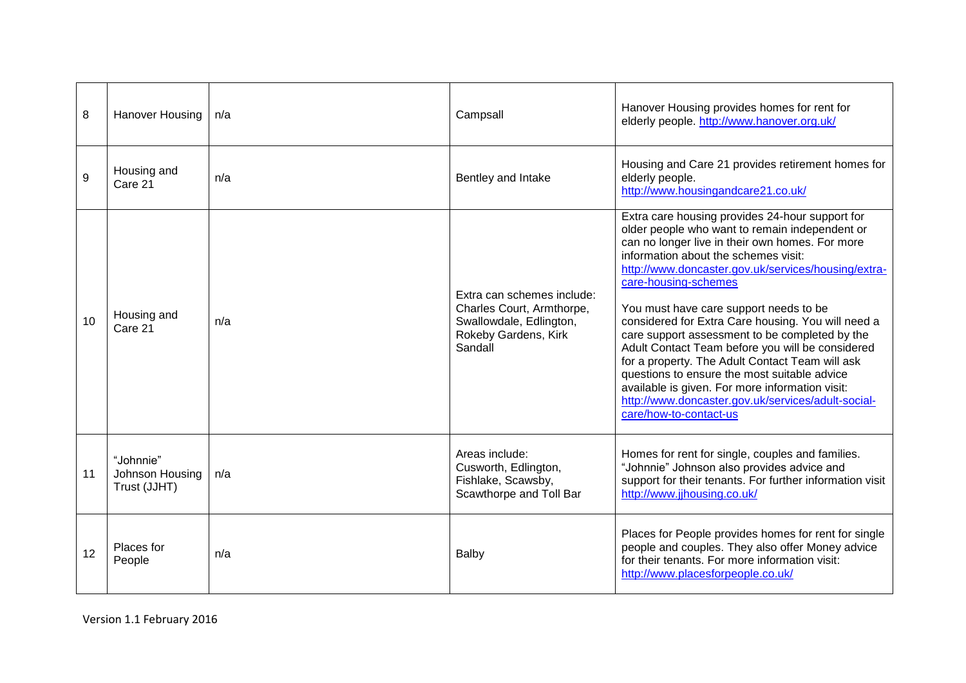| 8  | Hanover Housing                              | n/a | Campsall                                                                                                              | Hanover Housing provides homes for rent for<br>elderly people. http://www.hanover.org.uk/                                                                                                                                                                                                                                                                                                                                                                                                                                                                                                                                                                                                                               |
|----|----------------------------------------------|-----|-----------------------------------------------------------------------------------------------------------------------|-------------------------------------------------------------------------------------------------------------------------------------------------------------------------------------------------------------------------------------------------------------------------------------------------------------------------------------------------------------------------------------------------------------------------------------------------------------------------------------------------------------------------------------------------------------------------------------------------------------------------------------------------------------------------------------------------------------------------|
| 9  | Housing and<br>Care 21                       | n/a | Bentley and Intake                                                                                                    | Housing and Care 21 provides retirement homes for<br>elderly people.<br>http://www.housingandcare21.co.uk/                                                                                                                                                                                                                                                                                                                                                                                                                                                                                                                                                                                                              |
| 10 | Housing and<br>Care 21                       | n/a | Extra can schemes include:<br>Charles Court, Armthorpe,<br>Swallowdale, Edlington,<br>Rokeby Gardens, Kirk<br>Sandall | Extra care housing provides 24-hour support for<br>older people who want to remain independent or<br>can no longer live in their own homes. For more<br>information about the schemes visit:<br>http://www.doncaster.gov.uk/services/housing/extra-<br>care-housing-schemes<br>You must have care support needs to be<br>considered for Extra Care housing. You will need a<br>care support assessment to be completed by the<br>Adult Contact Team before you will be considered<br>for a property. The Adult Contact Team will ask<br>questions to ensure the most suitable advice<br>available is given. For more information visit:<br>http://www.doncaster.gov.uk/services/adult-social-<br>care/how-to-contact-us |
| 11 | "Johnnie"<br>Johnson Housing<br>Trust (JJHT) | n/a | Areas include:<br>Cusworth, Edlington,<br>Fishlake, Scawsby,<br>Scawthorpe and Toll Bar                               | Homes for rent for single, couples and families.<br>"Johnnie" Johnson also provides advice and<br>support for their tenants. For further information visit<br>http://www.jjhousing.co.uk/                                                                                                                                                                                                                                                                                                                                                                                                                                                                                                                               |
| 12 | Places for<br>People                         | n/a | <b>Balby</b>                                                                                                          | Places for People provides homes for rent for single<br>people and couples. They also offer Money advice<br>for their tenants. For more information visit:<br>http://www.placesforpeople.co.uk/                                                                                                                                                                                                                                                                                                                                                                                                                                                                                                                         |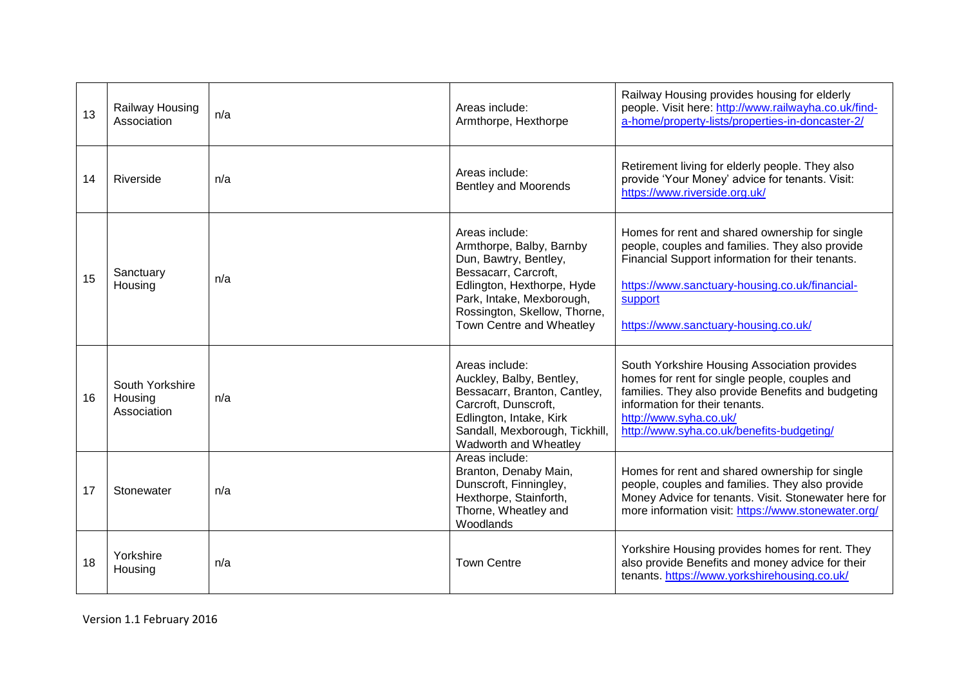| 13 | Railway Housing<br>Association            | n/a | Areas include:<br>Armthorpe, Hexthorpe                                                                                                                                                                             | Railway Housing provides housing for elderly<br>people. Visit here: http://www.railwayha.co.uk/find-<br>a-home/property-lists/properties-in-doncaster-2/                                                                                                     |
|----|-------------------------------------------|-----|--------------------------------------------------------------------------------------------------------------------------------------------------------------------------------------------------------------------|--------------------------------------------------------------------------------------------------------------------------------------------------------------------------------------------------------------------------------------------------------------|
| 14 | Riverside                                 | n/a | Areas include:<br><b>Bentley and Moorends</b>                                                                                                                                                                      | Retirement living for elderly people. They also<br>provide 'Your Money' advice for tenants. Visit:<br>https://www.riverside.org.uk/                                                                                                                          |
| 15 | Sanctuary<br>Housing                      | n/a | Areas include:<br>Armthorpe, Balby, Barnby<br>Dun, Bawtry, Bentley,<br>Bessacarr, Carcroft,<br>Edlington, Hexthorpe, Hyde<br>Park, Intake, Mexborough,<br>Rossington, Skellow, Thorne,<br>Town Centre and Wheatley | Homes for rent and shared ownership for single<br>people, couples and families. They also provide<br>Financial Support information for their tenants.<br>https://www.sanctuary-housing.co.uk/financial-<br>support<br>https://www.sanctuary-housing.co.uk/   |
| 16 | South Yorkshire<br>Housing<br>Association | n/a | Areas include:<br>Auckley, Balby, Bentley,<br>Bessacarr, Branton, Cantley,<br>Carcroft, Dunscroft,<br>Edlington, Intake, Kirk<br>Sandall, Mexborough, Tickhill,<br>Wadworth and Wheatley                           | South Yorkshire Housing Association provides<br>homes for rent for single people, couples and<br>families. They also provide Benefits and budgeting<br>information for their tenants.<br>http://www.syha.co.uk/<br>http://www.syha.co.uk/benefits-budgeting/ |
| 17 | Stonewater                                | n/a | Areas include:<br>Branton, Denaby Main,<br>Dunscroft, Finningley,<br>Hexthorpe, Stainforth,<br>Thorne, Wheatley and<br>Woodlands                                                                                   | Homes for rent and shared ownership for single<br>people, couples and families. They also provide<br>Money Advice for tenants. Visit. Stonewater here for<br>more information visit: https://www.stonewater.org/                                             |
| 18 | Yorkshire<br>Housing                      | n/a | <b>Town Centre</b>                                                                                                                                                                                                 | Yorkshire Housing provides homes for rent. They<br>also provide Benefits and money advice for their<br>tenants. https://www.yorkshirehousing.co.uk/                                                                                                          |